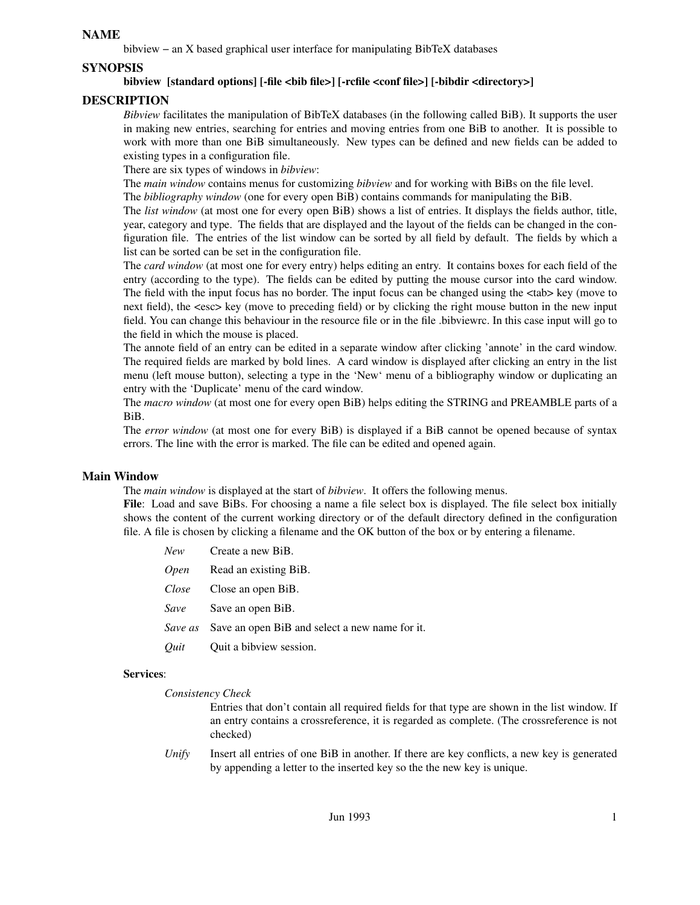# **NAME**

bibview−anXbased graphical user interface for manipulating BibTeX databases

# **SYNOPSIS**

# **bibview [standard options] [-file <bib file>] [-rcfile <conf file>] [-bibdir <directory>]**

# **DESCRIPTION**

*Bibview* facilitates the manipulation of BibTeX databases (in the following called BiB). It supports the user in making new entries, searching for entries and moving entries from one BiB to another. It is possible to work with more than one BiB simultaneously. New types can be defined and new fields can be added to existing types in a configuration file.

There are six types of windows in *bibview*:

The *main window* contains menus for customizing *bibview* and for working with BiBs on the file level.

The *bibliography window* (one for every open BiB) contains commands for manipulating the BiB.

The *list window* (at most one for every open BiB) shows a list of entries. It displays the fields author, title, year, category and type. The fields that are displayed and the layout of the fields can be changed in the configuration file. The entries of the list window can be sorted by all field by default. The fields by which a list can be sorted can be set in the configuration file.

The *card window* (at most one for every entry) helps editing an entry. It contains boxes for each field of the entry (according to the type). The fields can be edited by putting the mouse cursor into the card window. The field with the input focus has no border. The input focus can be changed using the  $\langle \text{tab} \rangle$  key (move to next field), the <esc> key (move to preceding field) or by clicking the right mouse button in the new input field. You can change this behaviour in the resource file or in the file .bibviewrc. In this case input will go to the field in which the mouse is placed.

The annote field of an entry can be edited in a separate window after clicking 'annote' in the card window. The required fields are marked by bold lines. A card window is displayed after clicking an entry in the list menu (left mouse button), selecting a type in the 'New' menu of a bibliography window or duplicating an entry with the 'Duplicate' menu of the card window.

The *macro window* (at most one for every open BiB) helps editing the STRING and PREAMBLE parts of a BiB.

The *error window* (at most one for every BiB) is displayed if a BiB cannot be opened because of syntax errors. The line with the error is marked. The file can be edited and opened again.

## **Main Window**

The *main window* is displayed at the start of *bibview*. It offers the following menus.

**File**: Load and save BiBs. For choosing a name a file select box is displayed. The file select box initially shows the content of the current working directory or of the default directory defined in the configuration file. A file is chosen by clicking a filename and the OK button of the box or by entering a filename.

|             | <i>New</i> Create a new BiB.                           |
|-------------|--------------------------------------------------------|
|             | <i>Open</i> Read an existing BiB.                      |
|             | <i>Close</i> Close an open BiB.                        |
| Save        | Save an open BiB.                                      |
|             | Save as Save an open BiB and select a new name for it. |
| <i>Ouit</i> | Quit a bibview session.                                |

## **Services**:

### *Consistency Check*

Entries that don't contain all required fields for that type are shown in the list window. If an entry contains a crossreference, it is regarded as complete. (The crossreference is not checked)

*Unify* Insert all entries of one BiB in another. If there are key conflicts, a new key is generated by appending a letter to the inserted key so the the new key is unique.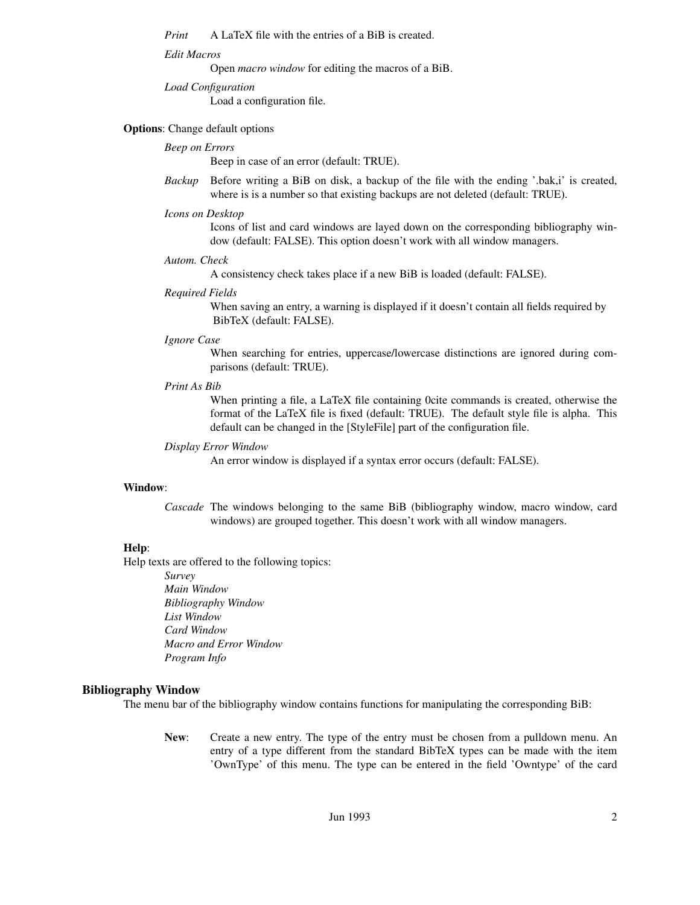*Print* A LaTeX file with the entries of a BiB is created.

### *Edit Macros*

Open *macro window* for editing the macros of a BiB.

*Load Configuration*

Load a configuration file.

### **Options**: Change default options

## *Beep on Errors*

Beep in case of an error (default: TRUE).

*Backup* Before writing a BiB on disk, a backup of the file with the ending '.bak,i' is created, where is is a number so that existing backups are not deleted (default: TRUE).

### *Icons on Desktop*

Icons of list and card windows are layed down on the corresponding bibliography window (default: FALSE). This option doesn't work with all window managers.

#### *Autom. Check*

A consistency check takes place if a new BiB is loaded (default: FALSE).

#### *Required Fields*

When saving an entry, a warning is displayed if it doesn't contain all fields required by BibTeX (default: FALSE).

### *Ignore Case*

When searching for entries, uppercase/lowercase distinctions are ignored during comparisons (default: TRUE).

### *Print As Bib*

When printing a file, a LaTeX file containing 0cite commands is created, otherwise the format of the LaTeX file is fixed (default: TRUE). The default style file is alpha. This default can be changed in the [StyleFile] part of the configuration file.

### *Display Error Window*

An error window is displayed if a syntax error occurs (default: FALSE).

### **Window**:

*Cascade* The windows belonging to the same BiB (bibliography window, macro window, card windows) are grouped together. This doesn't work with all window managers.

## **Help**:

Help texts are offered to the following topics:

*Survey Main Window Bibliography Window List Window Card Window Macro and Error Window Program Info*

### **Bibliography Window**

The menu bar of the bibliography window contains functions for manipulating the corresponding BiB:

**New**: Create a new entry. The type of the entry must be chosen from a pulldown menu. An entry of a type different from the standard BibTeX types can be made with the item 'OwnType' of this menu. The type can be entered in the field 'Owntype' of the card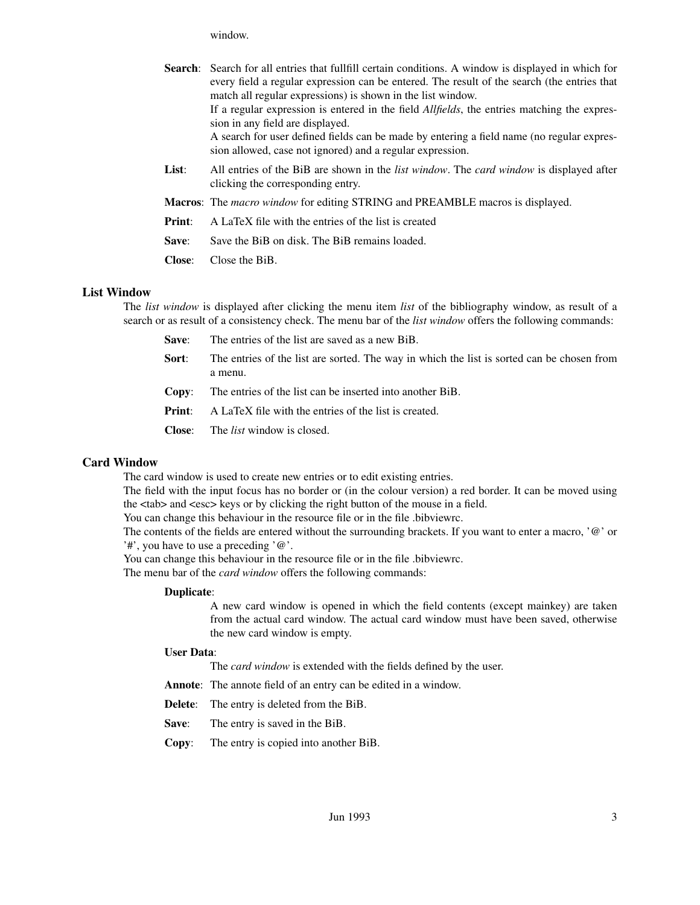window.

|               | <b>Search:</b> Search for all entries that fullfill certain conditions. A window is displayed in which for<br>every field a regular expression can be entered. The result of the search (the entries that<br>match all regular expressions) is shown in the list window.<br>If a regular expression is entered in the field <i>Allfields</i> , the entries matching the expres-<br>sion in any field are displayed.<br>A search for user defined fields can be made by entering a field name (no regular expres-<br>sion allowed, case not ignored) and a regular expression. |
|---------------|-------------------------------------------------------------------------------------------------------------------------------------------------------------------------------------------------------------------------------------------------------------------------------------------------------------------------------------------------------------------------------------------------------------------------------------------------------------------------------------------------------------------------------------------------------------------------------|
| List:         | All entries of the BiB are shown in the <i>list window</i> . The <i>card window</i> is displayed after<br>clicking the corresponding entry.                                                                                                                                                                                                                                                                                                                                                                                                                                   |
|               | <b>Macros:</b> The <i>macro window</i> for editing STRING and PREAMBLE macros is displayed.                                                                                                                                                                                                                                                                                                                                                                                                                                                                                   |
| Print:        | A LaTeX file with the entries of the list is created                                                                                                                                                                                                                                                                                                                                                                                                                                                                                                                          |
| Save:         | Save the BiB on disk. The BiB remains loaded.                                                                                                                                                                                                                                                                                                                                                                                                                                                                                                                                 |
| <b>Close:</b> | Close the BiB.                                                                                                                                                                                                                                                                                                                                                                                                                                                                                                                                                                |

## **List Window**

The *list window* is displayed after clicking the menu item *list* of the bibliography window, as result of a search or as result of a consistency check. The menu bar of the *list window* offers the following commands:

- **Save:** The entries of the list are saved as a new BiB.
- **Sort**: The entries of the list are sorted. The way in which the list is sorted can be chosen from a menu.
- **Copy**: The entries of the list can be inserted into another BiB.
- **Print:** A LaTeX file with the entries of the list is created.
- **Close**: The *list* window is closed.

## **Card Window**

The card window is used to create new entries or to edit existing entries.

The field with the input focus has no border or (in the colour version) a red border. It can be moved using the <tab> and <esc> keys or by clicking the right button of the mouse in a field.

You can change this behaviour in the resource file or in the file .bibviewrc.

The contents of the fields are entered without the surrounding brackets. If you want to enter a macro, '@' or '#', you have to use a preceding '@'.

You can change this behaviour in the resource file or in the file .bibviewrc.

The menu bar of the *card window* offers the following commands:

### **Duplicate**:

A new card window is opened in which the field contents (except mainkey) are taken from the actual card window. The actual card window must have been saved, otherwise the new card window is empty.

### **User Data**:

The *card window* is extended with the fields defined by the user.

**Annote**: The annote field of an entry can be edited in a window.

**Delete**: The entry is deleted from the BiB.

**Save**: The entry is saved in the BiB.

**Copy**: The entry is copied into another BiB.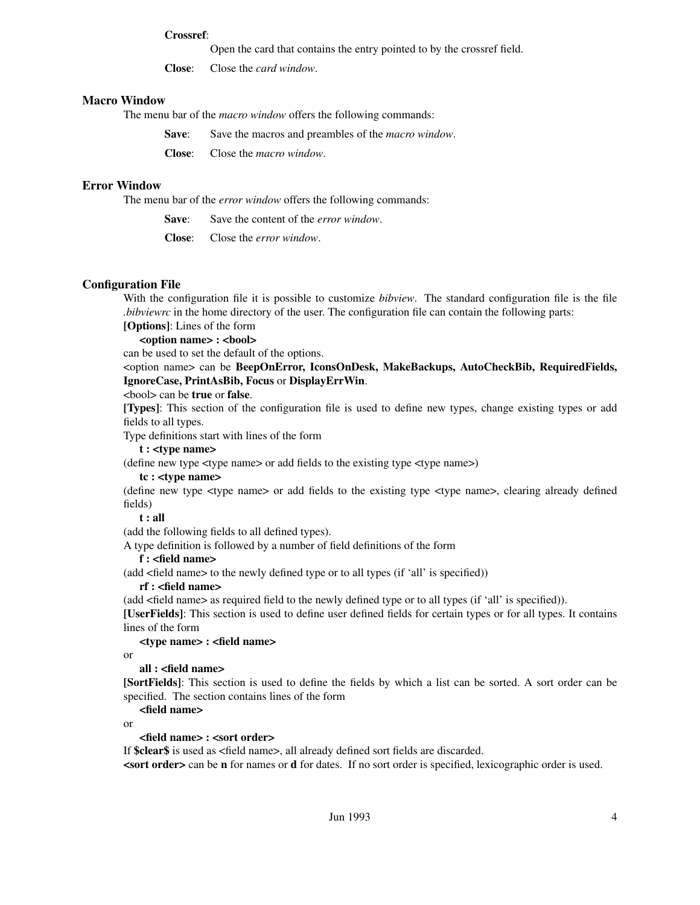### **Crossref**:

Open the card that contains the entry pointed to by the crossref field.

**Close**: Close the *card window*.

### **Macro Window**

The menu bar of the *macro window* offers the following commands:

**Save:** Save the macros and preambles of the *macro window*.

**Close**: Close the *macro window*.

## **Error Window**

The menu bar of the *error window* offers the following commands:

**Save:** Save the content of the *error window*.

**Close**: Close the *error window*.

## **Configuration File**

With the configuration file it is possible to customize *bibview*. The standard configuration file is the file *.bibviewrc* in the home directory of the user. The configuration file can contain the following parts:

# **[Options]**: Lines of the form

# **<option name> : <bool>**

can be used to set the default of the options.

<option name> can be **BeepOnError, IconsOnDesk, MakeBackups, AutoCheckBib, RequiredFields, IgnoreCase, PrintAsBib, Focus** or **DisplayErrWin**.

### <bool> can be **true** or **false**.

**[Types]**: This section of the configuration file is used to define new types, change existing types or add fields to all types.

Type definitions start with lines of the form

# **t:<type name>**

(define new type <type name> or add fields to the existing type <type name>)

## **tc : <type name>**

(define new type <type name> or add fields to the existing type <type name>, clearing already defined fields)

### **t:all**

(add the following fields to all defined types).

A type definition is followed by a number of field definitions of the form

## **f:<field name>**

(add <field name> to the newly defined type or to all types (if 'all' is specified))

### **rf : <field name>**

(add <field name> as required field to the newly defined type or to all types (if 'all' is specified)).

**[UserFields]**: This section is used to define user defined fields for certain types or for all types. It contains lines of the form

### **<type name> : <field name>**

or

### **all : <field name>**

**[SortFields]**: This section is used to define the fields by which a list can be sorted. A sort order can be specified. The section contains lines of the form

**<field name>**

or

## **<field name> : <sort order>**

If **\$clear\$** is used as <field name>, all already defined sort fields are discarded.

**<sort order>** can be **n** for names or **d** for dates. If no sort order is specified, lexicographic order is used.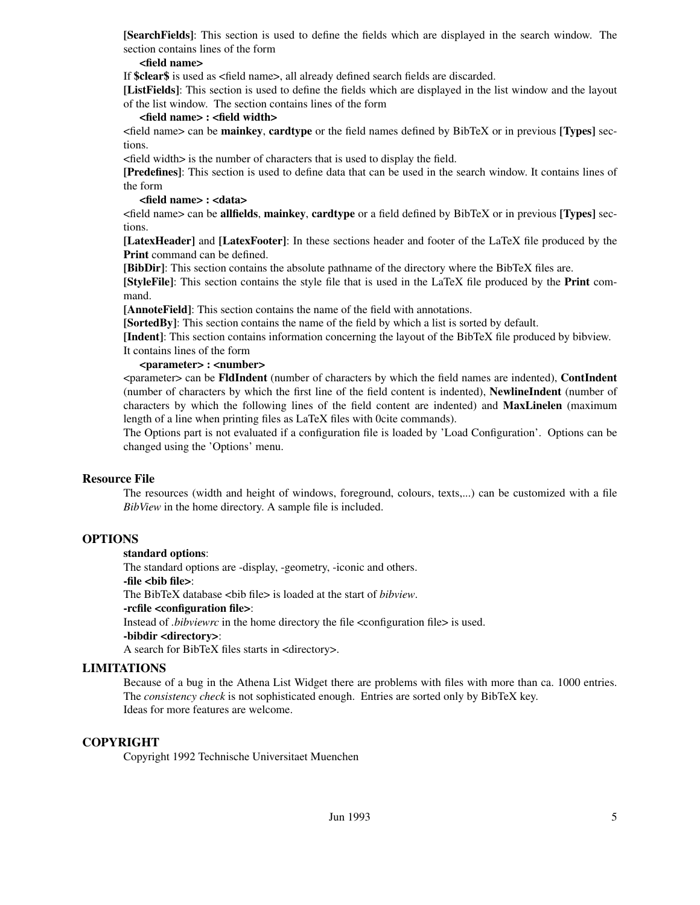**[SearchFields]**: This section is used to define the fields which are displayed in the search window. The section contains lines of the form

### **<field name>**

If **\$clear\$** is used as <field name>, all already defined search fields are discarded.

**[ListFields]**: This section is used to define the fields which are displayed in the list window and the layout of the list window. The section contains lines of the form

## **<field name> : <field width>**

<field name> can be **mainkey**, **cardtype** or the field names defined by BibTeX or in previous **[Types]** sections.

<field width> is the number of characters that is used to display the field.

**[Predefines]**: This section is used to define data that can be used in the search window. It contains lines of the form

## **<field name> : <data>**

<field name> can be **allfields**, **mainkey**, **cardtype** or a field defined by BibTeX or in previous **[Types]** sections.

**[LatexHeader]** and **[LatexFooter]**: In these sections header and footer of the LaTeX file produced by the **Print** command can be defined.

**[BibDir]**: This section contains the absolute pathname of the directory where the BibTeX files are.

**[StyleFile]**: This section contains the style file that is used in the LaTeX file produced by the **Print** command.

**[AnnoteField]**: This section contains the name of the field with annotations.

**[SortedBy]**: This section contains the name of the field by which a list is sorted by default.

**[Indent]**: This section contains information concerning the layout of the BibTeX file produced by bibview. It contains lines of the form

### **<parameter> : <number>**

<parameter> can be **FldIndent** (number of characters by which the field names are indented), **ContIndent** (number of characters by which the first line of the field content is indented), **NewlineIndent** (number of characters by which the following lines of the field content are indented) and **MaxLinelen** (maximum length of a line when printing files as LaTeX files with 0cite commands).

The Options part is not evaluated if a configuration file is loaded by 'Load Configuration'. Options can be changed using the 'Options' menu.

## **Resource File**

The resources (width and height of windows, foreground, colours, texts,...) can be customized with a file *BibView* in the home directory. A sample file is included.

## **OPTIONS**

## **standard options**:

The standard options are -display, -geometry, -iconic and others.

**-file <bib file>**:

The BibTeX database <bib file> is loaded at the start of *bibview*.

### **-rcfile <configuration file>**:

Instead of *.bibviewrc* in the home directory the file <configuration file> is used.

# **-bibdir <directory>**:

A search for BibTeX files starts in <directory>.

## **LIMITATIONS**

Because of a bug in the Athena List Widget there are problems with files with more than ca. 1000 entries. The *consistency check* is not sophisticated enough. Entries are sorted only by BibTeX key. Ideas for more features are welcome.

## **COPYRIGHT**

Copyright 1992 Technische Universitaet Muenchen